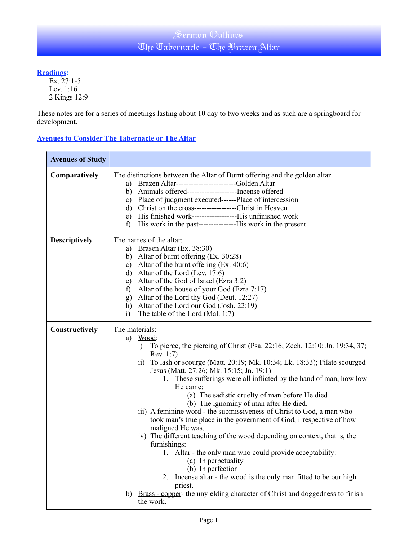## Sermon Outlines The Tabernacle - The Brazen Altar

### **Readings:**

Ex. 27:1-5 Lev. 1:16 2 Kings 12:9

These notes are for a series of meetings lasting about 10 day to two weeks and as such are a springboard for development.

### **Avenues to Consider The Tabernacle or The Altar**

| <b>Avenues of Study</b> |                                                                                                                                                                                                                                                                                                                                                                                                                                                                                                                                                                                                                                                                                                                                                                                                                                                                                                                                                                                                                      |  |  |
|-------------------------|----------------------------------------------------------------------------------------------------------------------------------------------------------------------------------------------------------------------------------------------------------------------------------------------------------------------------------------------------------------------------------------------------------------------------------------------------------------------------------------------------------------------------------------------------------------------------------------------------------------------------------------------------------------------------------------------------------------------------------------------------------------------------------------------------------------------------------------------------------------------------------------------------------------------------------------------------------------------------------------------------------------------|--|--|
| Comparatively           | The distinctions between the Altar of Burnt offering and the golden altar<br>Brazen Altar-------------------------Golden Altar<br>a)<br>Animals offered------------------------Incense offered<br>b)<br>Place of judgment executed------Place of intercession<br>c)<br>d) Christ on the cross-------------------Christ in Heaven<br>His finished work--------------------His unfinished work<br>e)<br>f)                                                                                                                                                                                                                                                                                                                                                                                                                                                                                                                                                                                                             |  |  |
| <b>Descriptively</b>    | The names of the altar:<br>Brasen Altar (Ex. 38:30)<br>a)<br>b) Altar of burnt offering $(Ex. 30:28)$<br>c) Altar of the burnt offering $(Ex. 40:6)$<br>d) Altar of the Lord (Lev. $17:6$ )<br>Altar of the God of Israel (Ezra 3:2)<br>e)<br>Altar of the house of your God (Ezra 7:17)<br>f)<br>Altar of the Lord thy God (Deut. 12:27)<br>g)<br>Altar of the Lord our God (Josh. 22:19)<br>h)<br>The table of the Lord (Mal. 1:7)<br>i)                                                                                                                                                                                                                                                                                                                                                                                                                                                                                                                                                                           |  |  |
| Constructively          | The materials:<br>Wood:<br>a)<br>To pierce, the piercing of Christ (Psa. 22:16; Zech. 12:10; Jn. 19:34, 37;<br>i)<br>Rev. 1:7)<br>To lash or scourge (Matt. 20:19; Mk. 10:34; Lk. 18:33); Pilate scourged<br>$\overline{ii}$<br>Jesus (Matt. 27:26; Mk. 15:15; Jn. 19:1)<br>1. These sufferings were all inflicted by the hand of man, how low<br>He came:<br>(a) The sadistic cruelty of man before He died<br>(b) The ignominy of man after He died.<br>iii) A feminine word - the submissiveness of Christ to God, a man who<br>took man's true place in the government of God, irrespective of how<br>maligned He was.<br>iv) The different teaching of the wood depending on context, that is, the<br>furnishings:<br>1. Altar - the only man who could provide acceptability:<br>(a) In perpetuality<br>(b) In perfection<br>Incense altar - the wood is the only man fitted to be our high<br>2.<br>priest.<br>Brass - copper- the unyielding character of Christ and doggedness to finish<br>b)<br>the work. |  |  |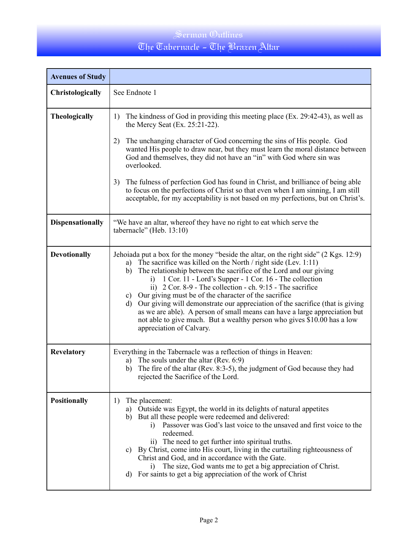# The Tabernacle - The Brazen Altar

| <b>Avenues of Study</b> |                                                                                                                                                                                                                                                                                                                                                                                                                                                                                                                                                                                                                                                                                                                            |  |  |  |
|-------------------------|----------------------------------------------------------------------------------------------------------------------------------------------------------------------------------------------------------------------------------------------------------------------------------------------------------------------------------------------------------------------------------------------------------------------------------------------------------------------------------------------------------------------------------------------------------------------------------------------------------------------------------------------------------------------------------------------------------------------------|--|--|--|
| Christologically        | See Endnote 1                                                                                                                                                                                                                                                                                                                                                                                                                                                                                                                                                                                                                                                                                                              |  |  |  |
| <b>Theologically</b>    | The kindness of God in providing this meeting place (Ex. 29:42-43), as well as<br>1)<br>the Mercy Seat $(Ex. 25:21-22)$ .<br>The unchanging character of God concerning the sins of His people. God<br>2)<br>wanted His people to draw near, but they must learn the moral distance between<br>God and themselves, they did not have an "in" with God where sin was<br>overlooked.<br>The fulness of perfection God has found in Christ, and brilliance of being able<br>3)<br>to focus on the perfections of Christ so that even when I am sinning, I am still<br>acceptable, for my acceptability is not based on my perfections, but on Christ's.                                                                       |  |  |  |
| <b>Dispensationally</b> | "We have an altar, whereof they have no right to eat which serve the<br>tabernacle" (Heb. 13:10)                                                                                                                                                                                                                                                                                                                                                                                                                                                                                                                                                                                                                           |  |  |  |
| <b>Devotionally</b>     | Jehoiada put a box for the money "beside the altar, on the right side" (2 Kgs. 12:9)<br>The sacrifice was killed on the North $/$ right side (Lev. 1:11)<br>a)<br>The relationship between the sacrifice of the Lord and our giving<br>b)<br>1 Cor. 11 - Lord's Supper - 1 Cor. 16 - The collection<br>i)<br>ii) $2 \text{Cor. } 8-9$ - The collection - ch. $9:15$ - The sacrifice<br>c) Our giving must be of the character of the sacrifice<br>Our giving will demonstrate our appreciation of the sacrifice (that is giving<br>d)<br>as we are able). A person of small means can have a large appreciation but<br>not able to give much. But a wealthy person who gives \$10.00 has a low<br>appreciation of Calvary. |  |  |  |
| Revelatory              | Everything in the Tabernacle was a reflection of things in Heaven:<br>The souls under the altar (Rev. 6:9)<br>a)<br>b) The fire of the altar (Rev. 8:3-5), the judgment of God because they had<br>rejected the Sacrifice of the Lord.                                                                                                                                                                                                                                                                                                                                                                                                                                                                                     |  |  |  |
| <b>Positionally</b>     | The placement:<br>1)<br>Outside was Egypt, the world in its delights of natural appetites<br>a)<br>But all these people were redeemed and delivered:<br>b)<br>Passover was God's last voice to the unsaved and first voice to the<br>$\mathbf{i}$<br>redeemed.<br>ii) The need to get further into spiritual truths.<br>c) By Christ, come into His court, living in the curtailing righteousness of<br>Christ and God, and in accordance with the Gate.<br>The size, God wants me to get a big appreciation of Christ.<br>$\mathbf{i}$<br>d) For saints to get a big appreciation of the work of Christ                                                                                                                   |  |  |  |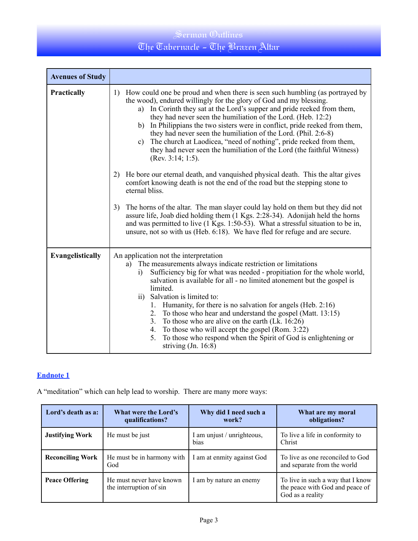## The Tabernacle - The Brazen Altar

| <b>Avenues of Study</b> |                                                                                                                                                                                                                                                                                                                                                                                                                                                                                                                                                                                                                                                                               |  |  |  |
|-------------------------|-------------------------------------------------------------------------------------------------------------------------------------------------------------------------------------------------------------------------------------------------------------------------------------------------------------------------------------------------------------------------------------------------------------------------------------------------------------------------------------------------------------------------------------------------------------------------------------------------------------------------------------------------------------------------------|--|--|--|
| Practically             | How could one be proud and when there is seen such humbling (as portrayed by<br>1)<br>the wood), endured willingly for the glory of God and my blessing.<br>a) In Corinth they sat at the Lord's supper and pride reeked from them,<br>they had never seen the humiliation of the Lord. (Heb. 12:2)<br>b) In Philippians the two sisters were in conflict, pride reeked from them,<br>they had never seen the humiliation of the Lord. (Phil. 2:6-8)<br>The church at Laodicea, "need of nothing", pride reeked from them,<br>c)<br>they had never seen the humiliation of the Lord (the faithful Witness)<br>(Rev. 3:14; 1:5).                                               |  |  |  |
|                         | He bore our eternal death, and vanquished physical death. This the altar gives<br>2)<br>comfort knowing death is not the end of the road but the stepping stone to<br>eternal bliss.                                                                                                                                                                                                                                                                                                                                                                                                                                                                                          |  |  |  |
|                         | The horns of the altar. The man slayer could lay hold on them but they did not<br>3)<br>assure life, Joab died holding them (1 Kgs. 2:28-34). Adonijah held the horns<br>and was permitted to live (1 Kgs. 1:50-53). What a stressful situation to be in,<br>unsure, not so with us (Heb. 6:18). We have fled for refuge and are secure.                                                                                                                                                                                                                                                                                                                                      |  |  |  |
| Evangelistically        | An application not the interpretation<br>The measurements always indicate restriction or limitations<br>a)<br>Sufficiency big for what was needed - propitiation for the whole world,<br>$\bf{1)}$<br>salvation is available for all - no limited atonement but the gospel is<br>limited.<br>ii) Salvation is limited to:<br>Humanity, for there is no salvation for angels (Heb. 2:16)<br>1.<br>To those who hear and understand the gospel (Matt. 13:15)<br>2.<br>3. To those who are alive on the earth (Lk. 16:26)<br>4. To those who will accept the gospel (Rom. 3:22)<br>To those who respond when the Spirit of God is enlightening or<br>5.<br>striving $(In. 16:8)$ |  |  |  |

### **Endnote 1**

A "meditation" which can help lead to worship. There are many more ways:

| Lord's death as a:      | <b>What were the Lord's</b><br>qualifications?      | Why did I need such a<br>work?     | What are my moral<br>obligations?                                                        |
|-------------------------|-----------------------------------------------------|------------------------------------|------------------------------------------------------------------------------------------|
| <b>Justifying Work</b>  | He must be just                                     | I am unjust / unrighteous,<br>bias | To live a life in conformity to<br>Christ                                                |
| <b>Reconciling Work</b> | He must be in harmony with<br>God                   | I am at enmity against God         | To live as one reconciled to God<br>and separate from the world                          |
| <b>Peace Offering</b>   | He must never have known<br>the interruption of sin | I am by nature an enemy            | To live in such a way that I know<br>the peace with God and peace of<br>God as a reality |